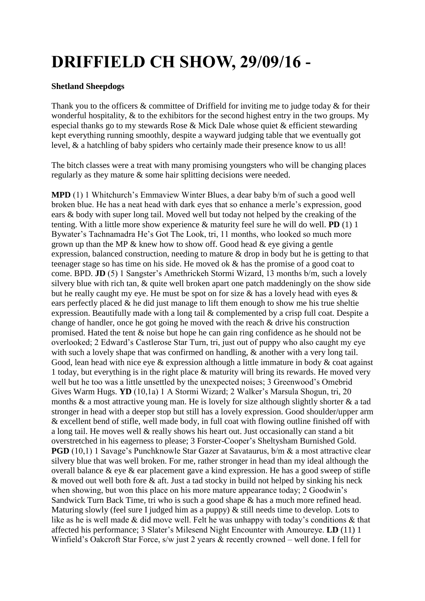## **DRIFFIELD CH SHOW, 29/09/16 -**

## **Shetland Sheepdogs**

Thank you to the officers & committee of Driffield for inviting me to judge today & for their wonderful hospitality, & to the exhibitors for the second highest entry in the two groups. My especial thanks go to my stewards Rose & Mick Dale whose quiet & efficient stewarding kept everything running smoothly, despite a wayward judging table that we eventually got level, & a hatchling of baby spiders who certainly made their presence know to us all!

The bitch classes were a treat with many promising youngsters who will be changing places regularly as they mature & some hair splitting decisions were needed.

**MPD** (1) 1 Whitchurch's Emmaview Winter Blues, a dear baby b/m of such a good well broken blue. He has a neat head with dark eyes that so enhance a merle's expression, good ears & body with super long tail. Moved well but today not helped by the creaking of the tenting. With a little more show experience & maturity feel sure he will do well. **PD** (1) 1 Bywater's Tachnamadra He's Got The Look, tri, 11 months, who looked so much more grown up than the MP & knew how to show off. Good head & eye giving a gentle expression, balanced construction, needing to mature & drop in body but he is getting to that teenager stage so has time on his side. He moved ok & has the promise of a good coat to come. BPD. **JD** (5) 1 Sangster's Amethrickeh Stormi Wizard, 13 months b/m, such a lovely silvery blue with rich tan, & quite well broken apart one patch maddeningly on the show side but he really caught my eye. He must be spot on for size  $\&$  has a lovely head with eyes  $\&$ ears perfectly placed  $\&$  he did just manage to lift them enough to show me his true sheltie expression. Beautifully made with a long tail & complemented by a crisp full coat. Despite a change of handler, once he got going he moved with the reach & drive his construction promised. Hated the tent & noise but hope he can gain ring confidence as he should not be overlooked; 2 Edward's Castlerose Star Turn, tri, just out of puppy who also caught my eye with such a lovely shape that was confirmed on handling,  $\&$  another with a very long tail. Good, lean head with nice eye  $\&$  expression although a little immature in body  $\&$  coat against 1 today, but everything is in the right place & maturity will bring its rewards. He moved very well but he too was a little unsettled by the unexpected noises; 3 Greenwood's Omebrid Gives Warm Hugs. **YD** (10,1a) 1 A Stormi Wizard; 2 Walker's Marsula Shogun, tri, 20 months & a most attractive young man. He is lovely for size although slightly shorter & a tad stronger in head with a deeper stop but still has a lovely expression. Good shoulder/upper arm & excellent bend of stifle, well made body, in full coat with flowing outline finished off with a long tail. He moves well & really shows his heart out. Just occasionally can stand a bit overstretched in his eagerness to please; 3 Forster-Cooper's Sheltysham Burnished Gold. **PGD** (10.1) 1 Savage's Punchknowle Star Gazer at Savataurus, b/m & a most attractive clear silvery blue that was well broken. For me, rather stronger in head than my ideal although the overall balance & eye & ear placement gave a kind expression. He has a good sweep of stifle & moved out well both fore & aft. Just a tad stocky in build not helped by sinking his neck when showing, but won this place on his more mature appearance today; 2 Goodwin's Sandwick Turn Back Time, tri who is such a good shape & has a much more refined head. Maturing slowly (feel sure I judged him as a puppy) & still needs time to develop. Lots to like as he is well made & did move well. Felt he was unhappy with today's conditions & that affected his performance; 3 Slater's Milesend Night Encounter with Amoureye. **LD** (11) 1 Winfield's Oakcroft Star Force, s/w just 2 years & recently crowned – well done. I fell for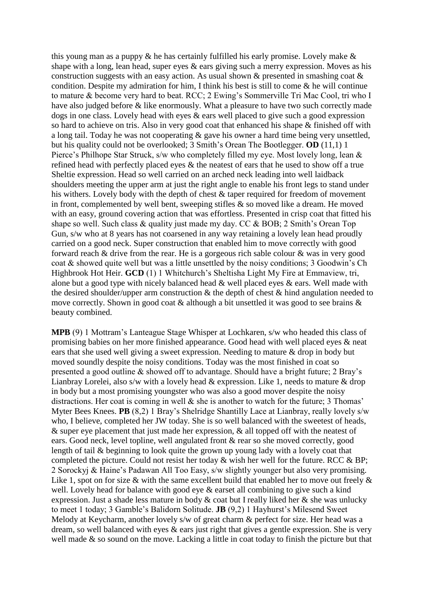this young man as a puppy & he has certainly fulfilled his early promise. Lovely make & shape with a long, lean head, super eyes & ears giving such a merry expression. Moves as his construction suggests with an easy action. As usual shown & presented in smashing coat & condition. Despite my admiration for him, I think his best is still to come  $\&$  he will continue to mature & become very hard to beat. RCC; 2 Ewing's Sommerville Tri Mac Cool, tri who I have also judged before & like enormously. What a pleasure to have two such correctly made dogs in one class. Lovely head with eyes & ears well placed to give such a good expression so hard to achieve on tris. Also in very good coat that enhanced his shape & finished off with a long tail. Today he was not cooperating & gave his owner a hard time being very unsettled, but his quality could not be overlooked; 3 Smith's Orean The Bootlegger. **OD** (11,1) 1 Pierce's Philhope Star Struck, s/w who completely filled my eye. Most lovely long, lean & refined head with perfectly placed eyes & the neatest of ears that he used to show off a true Sheltie expression. Head so well carried on an arched neck leading into well laidback shoulders meeting the upper arm at just the right angle to enable his front legs to stand under his withers. Lovely body with the depth of chest & taper required for freedom of movement in front, complemented by well bent, sweeping stifles  $\&$  so moved like a dream. He moved with an easy, ground covering action that was effortless. Presented in crisp coat that fitted his shape so well. Such class & quality just made my day. CC & BOB; 2 Smith's Orean Top Gun, s/w who at 8 years has not coarsened in any way retaining a lovely lean head proudly carried on a good neck. Super construction that enabled him to move correctly with good forward reach & drive from the rear. He is a gorgeous rich sable colour & was in very good coat & showed quite well but was a little unsettled by the noisy conditions; 3 Goodwin's Ch Highbrook Hot Heir. **GCD** (1) 1 Whitchurch's Sheltisha Light My Fire at Emmaview, tri, alone but a good type with nicely balanced head & well placed eyes & ears. Well made with the desired shoulder/upper arm construction  $\&$  the depth of chest  $\&$  hind angulation needed to move correctly. Shown in good coat & although a bit unsettled it was good to see brains & beauty combined.

**MPB** (9) 1 Mottram's Lanteague Stage Whisper at Lochkaren, s/w who headed this class of promising babies on her more finished appearance. Good head with well placed eyes & neat ears that she used well giving a sweet expression. Needing to mature & drop in body but moved soundly despite the noisy conditions. Today was the most finished in coat so presented a good outline & showed off to advantage. Should have a bright future; 2 Bray's Lianbray Lorelei, also s/w with a lovely head & expression. Like 1, needs to mature & drop in body but a most promising youngster who was also a good mover despite the noisy distractions. Her coat is coming in well  $\&$  she is another to watch for the future; 3 Thomas' Myter Bees Knees. **PB** (8,2) 1 Bray's Shelridge Shantilly Lace at Lianbray, really lovely s/w who, I believe, completed her JW today. She is so well balanced with the sweetest of heads, & super eye placement that just made her expression, & all topped off with the neatest of ears. Good neck, level topline, well angulated front & rear so she moved correctly, good length of tail & beginning to look quite the grown up young lady with a lovely coat that completed the picture. Could not resist her today & wish her well for the future. RCC & BP; 2 Sorockyj & Haine's Padawan All Too Easy, s/w slightly younger but also very promising. Like 1, spot on for size  $\&$  with the same excellent build that enabled her to move out freely  $\&$ well. Lovely head for balance with good eye & earset all combining to give such a kind expression. Just a shade less mature in body & coat but I really liked her & she was unlucky to meet 1 today; 3 Gamble's Balidorn Solitude. **JB** (9,2) 1 Hayhurst's Milesend Sweet Melody at Keycharm, another lovely s/w of great charm & perfect for size. Her head was a dream, so well balanced with eyes & ears just right that gives a gentle expression. She is very well made  $\&$  so sound on the move. Lacking a little in coat today to finish the picture but that